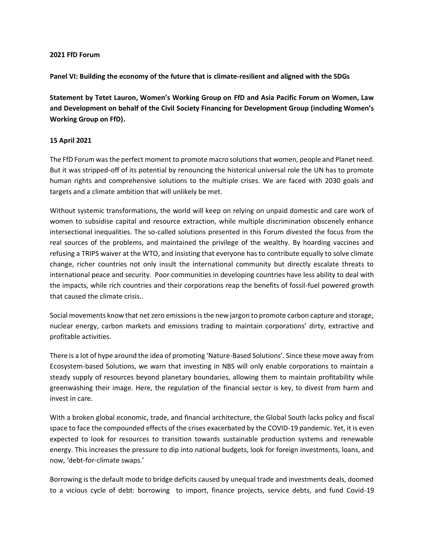## **2021 FfD Forum**

**Panel VI: Building the economy of the future that is climate-resilient and aligned with the SDGs**

**Statement by Tetet Lauron, Women's Working Group on FfD and Asia Pacific Forum on Women, Law and Development on behalf of the Civil Society Financing for Development Group (including Women's Working Group on FfD).** 

## **15 April 2021**

The FfD Forum was the perfect moment to promote macro solutions that women, people and Planet need. But it was stripped-off of its potential by renouncing the historical universal role the UN has to promote human rights and comprehensive solutions to the multiple crises. We are faced with 2030 goals and targets and a climate ambition that will unlikely be met.

Without systemic transformations, the world will keep on relying on unpaid domestic and care work of women to subsidise capital and resource extraction, while multiple discrimination obscenely enhance intersectional inequalities. The so-called solutions presented in this Forum divested the focus from the real sources of the problems, and maintained the privilege of the wealthy. By hoarding vaccines and refusing a TRIPS waiver at the WTO, and insisting that everyone has to contribute equally to solve climate change, richer countries not only insult the international community but directly escalate threats to international peace and security. Poor communities in developing countries have less ability to deal with the impacts, while rich countries and their corporations reap the benefits of fossil-fuel powered growth that caused the climate crisis..

Social movements know that net zero emissions is the new jargon to promote carbon capture and storage, nuclear energy, carbon markets and emissions trading to maintain corporations' dirty, extractive and profitable activities.

There is a lot of hype around the idea of promoting 'Nature-Based Solutions'. Since these move away from Ecosystem-based Solutions, we warn that investing in NBS will only enable corporations to maintain a steady supply of resources beyond planetary boundaries, allowing them to maintain profitability while greenwashing their image. Here, the regulation of the financial sector is key, to divest from harm and invest in care.

With a broken global economic, trade, and financial architecture, the Global South lacks policy and fiscal space to face the compounded effects of the crises exacerbated by the COVID-19 pandemic. Yet, it is even expected to look for resources to transition towards sustainable production systems and renewable energy. This increases the pressure to dip into national budgets, look for foreign investments, loans, and now, 'debt-for-climate swaps.'

Borrowing is the default mode to bridge deficits caused by unequal trade and investments deals, doomed to a vicious cycle of debt: borrowing to import, finance projects, service debts, and fund Covid-19